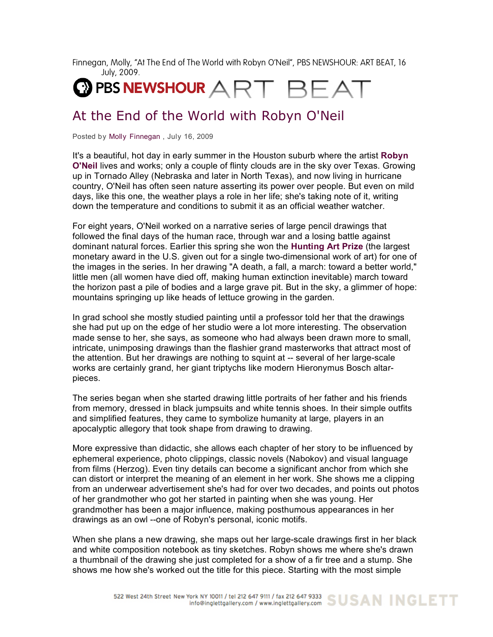Finnegan, Molly, "At The End of The World with Robyn O'Neil", PBS NEWSHOUR: ART BEAT, 16 July, 2009.



## At the End of the World with Robyn O'Neil

Posted by Molly Finnegan , July 16, 2009

It's a beautiful, hot day in early summer in the Houston suburb where the artist **Robyn O'Neil** lives and works; only a couple of flinty clouds are in the sky over Texas. Growing up in Tornado Alley (Nebraska and later in North Texas), and now living in hurricane country, O'Neil has often seen nature asserting its power over people. But even on mild days, like this one, the weather plays a role in her life; she's taking note of it, writing down the temperature and conditions to submit it as an official weather watcher.

For eight years, O'Neil worked on a narrative series of large pencil drawings that followed the final days of the human race, through war and a losing battle against dominant natural forces. Earlier this spring she won the **Hunting Art Prize** (the largest monetary award in the U.S. given out for a single two-dimensional work of art) for one of the images in the series. In her drawing "A death, a fall, a march: toward a better world," little men (all women have died off, making human extinction inevitable) march toward the horizon past a pile of bodies and a large grave pit. But in the sky, a glimmer of hope: mountains springing up like heads of lettuce growing in the garden.

In grad school she mostly studied painting until a professor told her that the drawings she had put up on the edge of her studio were a lot more interesting. The observation made sense to her, she says, as someone who had always been drawn more to small, intricate, unimposing drawings than the flashier grand masterworks that attract most of the attention. But her drawings are nothing to squint at -- several of her large-scale works are certainly grand, her giant triptychs like modern Hieronymus Bosch altarpieces.

The series began when she started drawing little portraits of her father and his friends from memory, dressed in black jumpsuits and white tennis shoes. In their simple outfits and simplified features, they came to symbolize humanity at large, players in an apocalyptic allegory that took shape from drawing to drawing.

More expressive than didactic, she allows each chapter of her story to be influenced by ephemeral experience, photo clippings, classic novels (Nabokov) and visual language from films (Herzog). Even tiny details can become a significant anchor from which she can distort or interpret the meaning of an element in her work. She shows me a clipping from an underwear advertisement she's had for over two decades, and points out photos of her grandmother who got her started in painting when she was young. Her grandmother has been a major influence, making posthumous appearances in her drawings as an owl --one of Robyn's personal, iconic motifs.

When she plans a new drawing, she maps out her large-scale drawings first in her black and white composition notebook as tiny sketches. Robyn shows me where she's drawn a thumbnail of the drawing she just completed for a show of a fir tree and a stump. She shows me how she's worked out the title for this piece. Starting with the most simple